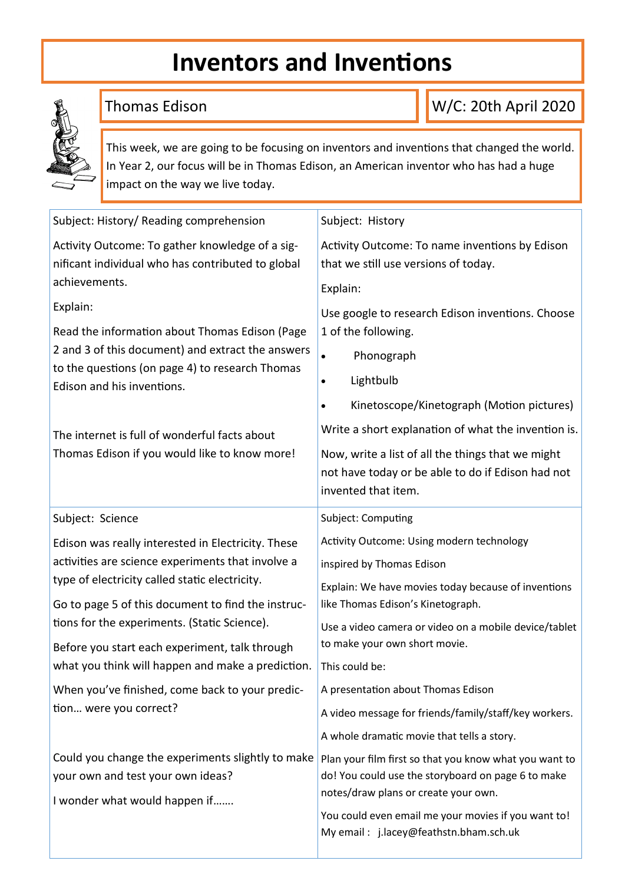# **Inventors and Inventions**



# Thomas Edison

W/C: 20th April 2020

This week, we are going to be focusing on inventors and inventions that changed the world. In Year 2, our focus will be in Thomas Edison, an American inventor who has had a huge impact on the way we live today.

| Subject: History/ Reading comprehension                                                                                                                                                                                                                                                                                                                                | Subject: History                                                                                                                                                                                                                                                                                                                                                               |
|------------------------------------------------------------------------------------------------------------------------------------------------------------------------------------------------------------------------------------------------------------------------------------------------------------------------------------------------------------------------|--------------------------------------------------------------------------------------------------------------------------------------------------------------------------------------------------------------------------------------------------------------------------------------------------------------------------------------------------------------------------------|
| Activity Outcome: To gather knowledge of a sig-<br>nificant individual who has contributed to global<br>achievements.                                                                                                                                                                                                                                                  | Activity Outcome: To name inventions by Edison<br>that we still use versions of today.<br>Explain:                                                                                                                                                                                                                                                                             |
| Explain:<br>Read the information about Thomas Edison (Page<br>2 and 3 of this document) and extract the answers<br>to the questions (on page 4) to research Thomas<br>Edison and his inventions.<br>The internet is full of wonderful facts about<br>Thomas Edison if you would like to know more!                                                                     | Use google to research Edison inventions. Choose<br>1 of the following.<br>Phonograph<br>$\bullet$<br>Lightbulb<br>$\bullet$<br>Kinetoscope/Kinetograph (Motion pictures)<br>$\bullet$<br>Write a short explanation of what the invention is.<br>Now, write a list of all the things that we might<br>not have today or be able to do if Edison had not<br>invented that item. |
| Subject: Science                                                                                                                                                                                                                                                                                                                                                       | Subject: Computing                                                                                                                                                                                                                                                                                                                                                             |
| Edison was really interested in Electricity. These<br>activities are science experiments that involve a<br>type of electricity called static electricity.<br>Go to page 5 of this document to find the instruc-<br>tions for the experiments. (Static Science).<br>Before you start each experiment, talk through<br>what you think will happen and make a prediction. | Activity Outcome: Using modern technology<br>inspired by Thomas Edison<br>Explain: We have movies today because of inventions<br>like Thomas Edison's Kinetograph.<br>Use a video camera or video on a mobile device/tablet<br>to make your own short movie.<br>This could be:                                                                                                 |
| When you've finished, come back to your predic-<br>tion were you correct?                                                                                                                                                                                                                                                                                              | A presentation about Thomas Edison<br>A video message for friends/family/staff/key workers.<br>A whole dramatic movie that tells a story.                                                                                                                                                                                                                                      |
| Could you change the experiments slightly to make<br>your own and test your own ideas?<br>I wonder what would happen if                                                                                                                                                                                                                                                | Plan your film first so that you know what you want to<br>do! You could use the storyboard on page 6 to make<br>notes/draw plans or create your own.<br>You could even email me your movies if you want to!<br>My email: j.lacey@feathstn.bham.sch.uk                                                                                                                          |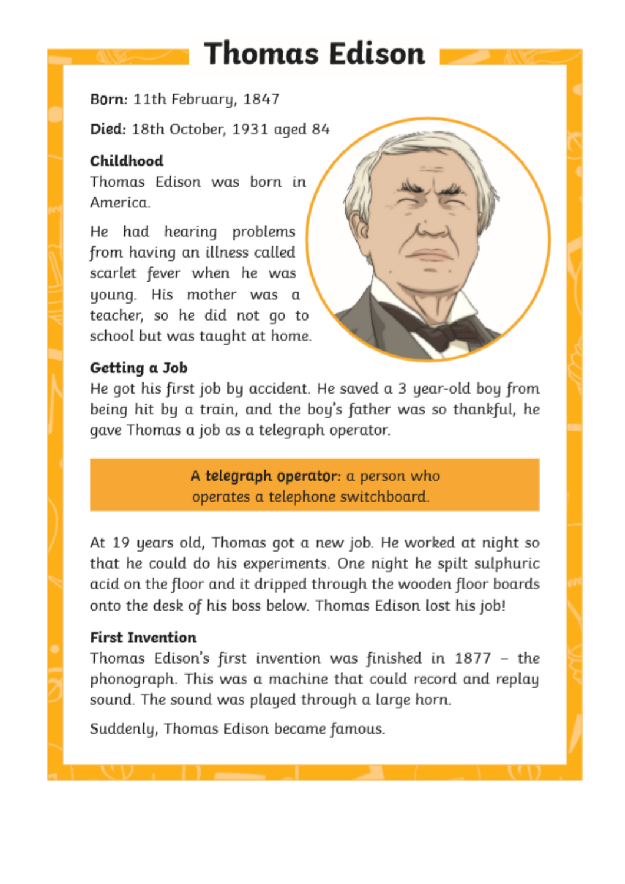# **Thomas Edison**

Born: 11th February, 1847

Died: 18th October, 1931 aged 84

# Childhood

Thomas Edison was born in America.

He had hearing problems from having an illness called scarlet fever when he was young. His mother was a teacher, so he did not go to school but was taught at home.

# Getting a Job



He got his first job by accident. He saved a 3 year-old boy from being hit by a train, and the boy's father was so thankful, he gave Thomas a job as a telegraph operator.

> A telegraph operator: a person who operates a telephone switchboard.

At 19 years old, Thomas got a new job. He worked at night so that he could do his experiments. One night he spilt sulphuric acid on the floor and it dripped through the wooden floor boards onto the desk of his boss below. Thomas Edison lost his job!

### **First Invention**

Thomas Edison's first invention was finished in 1877 - the phonograph. This was a machine that could record and replay sound. The sound was played through a large horn.

Suddenly, Thomas Edison became famous.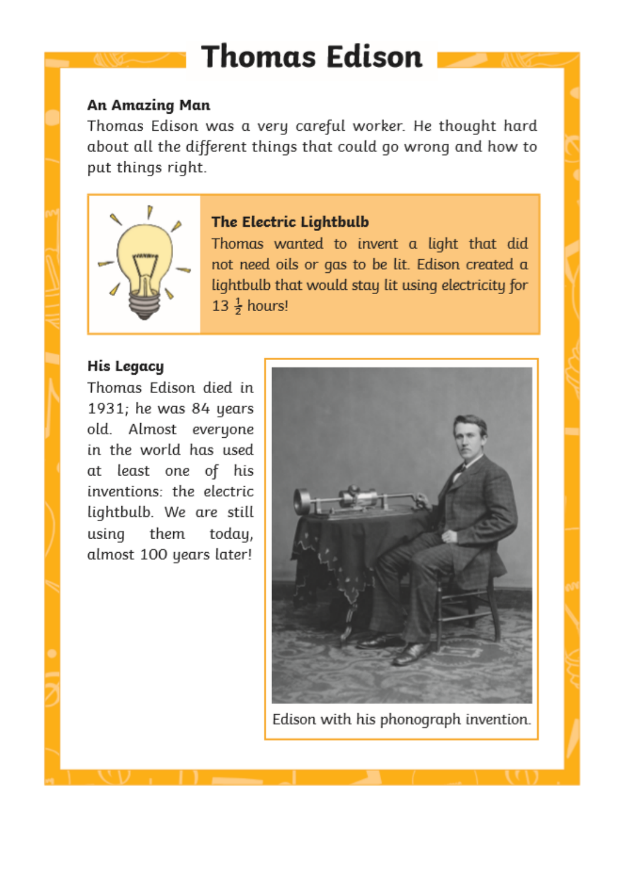# **Thomas Edison**

#### An Amazing Man

Thomas Edison was a very careful worker. He thought hard about all the different things that could go wrong and how to put things right.



### The Electric Lightbulb

Thomas wanted to invent a light that did not need oils or gas to be lit. Edison created a lightbulb that would stay lit using electricity for 13  $\frac{1}{2}$  hours!

### **His Legacy**

Thomas Edison died in 1931; he was 84 years old. Almost everyone in the world has used at least one of his inventions: the electric lightbulb. We are still using them today, almost 100 years later!



Edison with his phonograph invention.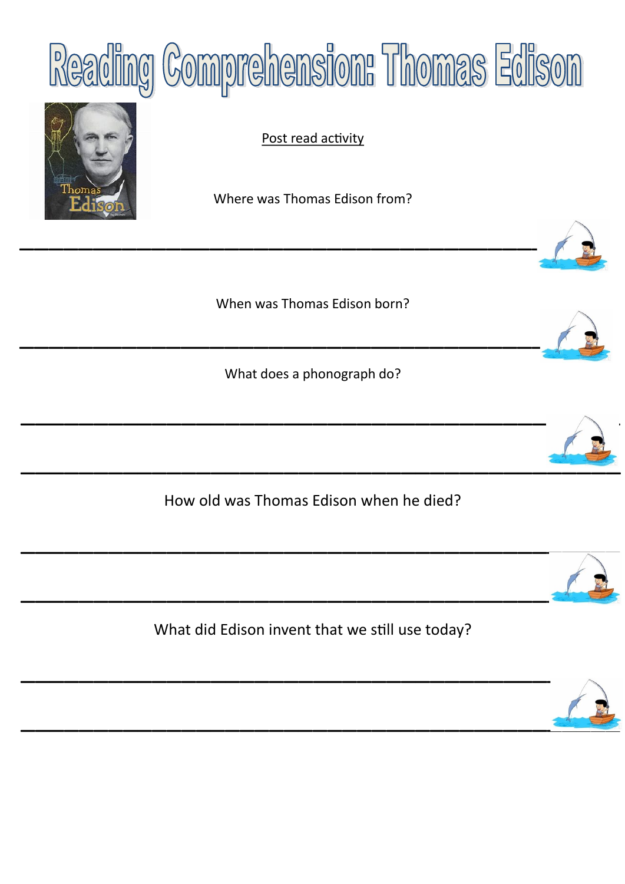



Post read activity

Where was Thomas Edison from?

\_\_\_\_\_\_\_\_\_\_\_\_\_\_\_\_\_\_\_\_\_\_\_\_\_\_\_\_\_\_\_\_\_\_\_\_\_\_\_\_

When was Thomas Edison born?

\_\_\_\_\_\_\_\_\_\_\_\_\_\_\_\_\_\_\_\_\_\_\_\_\_\_\_\_\_\_\_\_\_\_\_\_\_\_\_\_

What does a phonograph do?



How old was Thomas Edison when he died?



What did Edison invent that we still use today?

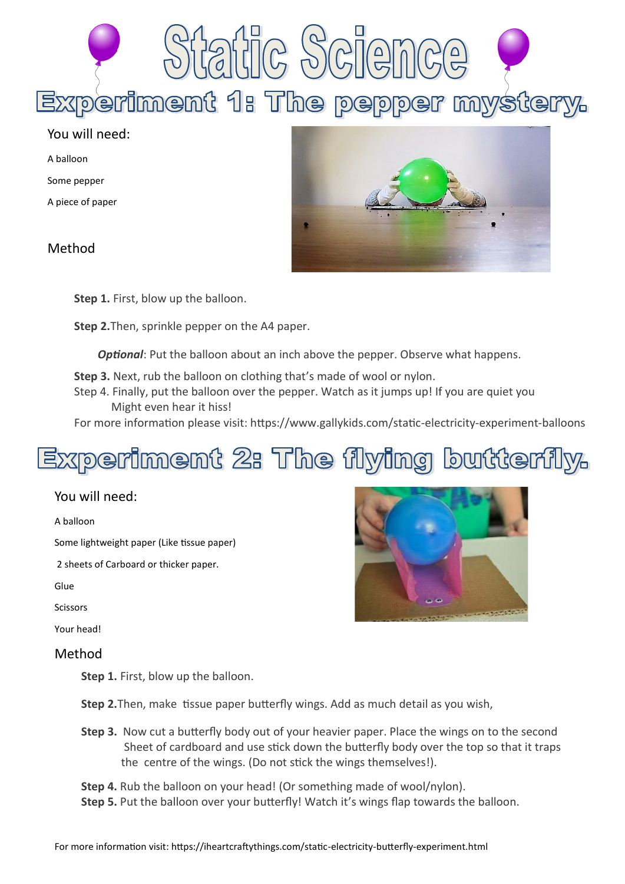Experiment 1: The pepper mystery.

#### You will need:

A balloon

Some pepper

A piece of paper

Method



**Step 1.** First, blow up the balloon.

**Step 2.**Then, sprinkle pepper on the A4 paper.

**Optional**: Put the balloon about an inch above the pepper. Observe what happens.

- **Step 3.** Next, rub the balloon on clothing that's made of wool or nylon.
- Step 4. Finally, put the balloon over the pepper. Watch as it jumps up! If you are quiet you Might even hear it hiss!

For more information please visit: https://www.gallykids.com/static-electricity-experiment-balloons

# Experiment 2: The flying butterfly.

#### You will need:

A balloon

Some lightweight paper (Like tissue paper)

2 sheets of Carboard or thicker paper.

Glue

Scissors

Your head!

#### Method

**Step 1.** First, blow up the balloon.

**Step 2.**Then, make tissue paper butterfly wings. Add as much detail as you wish,

**Step 3.** Now cut a butterfly body out of your heavier paper. Place the wings on to the second Sheet of cardboard and use stick down the butterfly body over the top so that it traps the centre of the wings. (Do not stick the wings themselves!).

**Step 4.** Rub the balloon on your head! (Or something made of wool/nylon).

Step 5. Put the balloon over your butterfly! Watch it's wings flap towards the balloon.